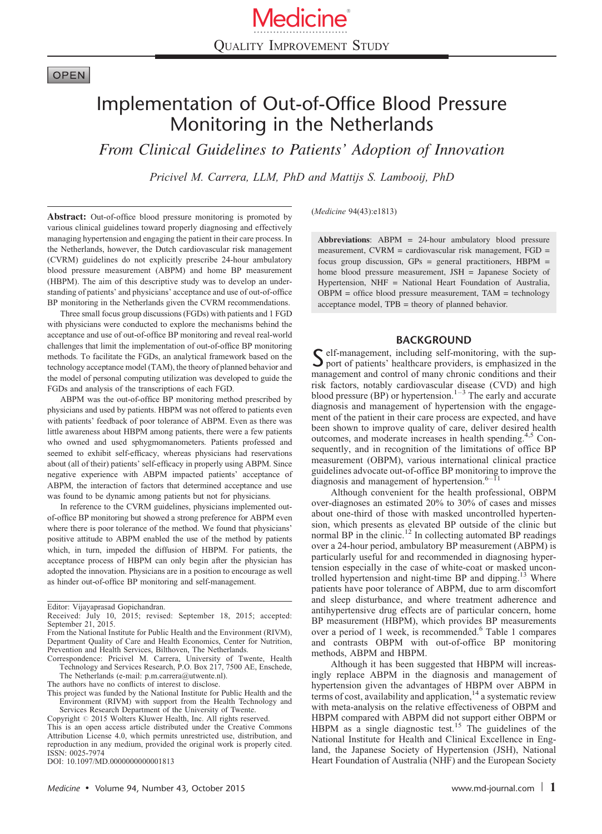# **OPEN**

# Implementation of Out-of-Office Blood Pressure Monitoring in the Netherlands

From Clinical Guidelines to Patients' Adoption of Innovation

Pricivel M. Carrera, LLM, PhD and Mattijs S. Lambooij, PhD

Abstract: Out-of-office blood pressure monitoring is promoted by various clinical guidelines toward properly diagnosing and effectively managing hypertension and engaging the patient in their care process. In the Netherlands, however, the Dutch cardiovascular risk management (CVRM) guidelines do not explicitly prescribe 24-hour ambulatory blood pressure measurement (ABPM) and home BP measurement (HBPM). The aim of this descriptive study was to develop an understanding of patients' and physicians' acceptance and use of out-of-office BP monitoring in the Netherlands given the CVRM recommendations.

Three small focus group discussions (FGDs) with patients and 1 FGD with physicians were conducted to explore the mechanisms behind the acceptance and use of out-of-office BP monitoring and reveal real-world challenges that limit the implementation of out-of-office BP monitoring methods. To facilitate the FGDs, an analytical framework based on the technology acceptance model (TAM), the theory of planned behavior and the model of personal computing utilization was developed to guide the FGDs and analysis of the transcriptions of each FGD.

ABPM was the out-of-office BP monitoring method prescribed by physicians and used by patients. HBPM was not offered to patients even with patients' feedback of poor tolerance of ABPM. Even as there was little awareness about HBPM among patients, there were a few patients who owned and used sphygmomanometers. Patients professed and seemed to exhibit self-efficacy, whereas physicians had reservations about (all of their) patients' self-efficacy in properly using ABPM. Since negative experience with ABPM impacted patients' acceptance of ABPM, the interaction of factors that determined acceptance and use was found to be dynamic among patients but not for physicians.

In reference to the CVRM guidelines, physicians implemented outof-office BP monitoring but showed a strong preference for ABPM even where there is poor tolerance of the method. We found that physicians' positive attitude to ABPM enabled the use of the method by patients which, in turn, impeded the diffusion of HBPM. For patients, the acceptance process of HBPM can only begin after the physician has adopted the innovation. Physicians are in a position to encourage as well as hinder out-of-office BP monitoring and self-management.

Editor: Vijayaprasad Gopichandran.

- Received: July 10, 2015; revised: September 18, 2015; accepted: September 21, 2015.
- From the National Institute for Public Health and the Environment (RIVM), Department Quality of Care and Health Economics, Center for Nutrition, Prevention and Health Services, Bilthoven, The Netherlands.
- Correspondence: Pricivel M. Carrera, University of Twente, Health Technology and Services Research, P.O. Box 217, 7500 AE, Enschede, The Netherlands (e-mail: [p.m.carrera@utwente.nl\)](mailto:p.m.carrera@utwente.nl).

The authors have no conflicts of interest to disclose.

This project was funded by the National Institute for Public Health and the Environment (RIVM) with support from the Health Technology and Services Research Department of the University of Twente.

Copyright @ 2015 Wolters Kluwer Health, Inc. All rights reserved.

DOI: [10.1097/MD.0000000000001813](http://dx.doi.org/10.1097/MD.0000000000001813)

(Medicine 94(43):e1813)

Abbreviations: ABPM = 24-hour ambulatory blood pressure measurement, CVRM = cardiovascular risk management, FGD = focus group discussion,  $GPs$  = general practitioners,  $HBPM$  = home blood pressure measurement, JSH = Japanese Society of Hypertension, NHF = National Heart Foundation of Australia,  $OBPM =$  office blood pressure measurement,  $TAM =$  technology acceptance model, TPB = theory of planned behavior.

## **BACKGROUND**

Self-management, including self-monitoring, with the support of patients' healthcare providers, is emphasized in the management and control of many chronic conditions and their risk factors, notably cardiovascular disease (CVD) and high blood pressure (BP) or hypertension.<sup>[1–3](#page-6-0)</sup> The early and accurate diagnosis and management of hypertension with the engagement of the patient in their care process are expected, and have been shown to improve quality of care, deliver desired health outcomes, and moderate increases in health spending.<sup>[4,5](#page-6-0)</sup> Consequently, and in recognition of the limitations of office BP measurement (OBPM), various international clinical practice guidelines advocate out-of-office BP monitoring to improve the diagnosis and management of hypertension. $6-11$ 

Although convenient for the health professional, OBPM over-diagnoses an estimated 20% to 30% of cases and misses about one-third of those with masked uncontrolled hypertension, which presents as elevated BP outside of the clinic but normal BP in the clinic.<sup>[12](#page-6-0)</sup> In collecting automated BP readings over a 24-hour period, ambulatory BP measurement (ABPM) is particularly useful for and recommended in diagnosing hypertension especially in the case of white-coat or masked uncon-trolled hypertension and night-time BP and dipping.<sup>[13](#page-6-0)</sup> Where patients have poor tolerance of ABPM, due to arm discomfort and sleep disturbance, and where treatment adherence and antihypertensive drug effects are of particular concern, home BP measurement (HBPM), which provides BP measurements over a period of 1 week, is recommended.<sup>[6](#page-6-0)</sup> [Table 1](#page-1-0) compares and contrasts OBPM with out-of-office BP monitoring methods, ABPM and HBPM.

Although it has been suggested that HBPM will increasingly replace ABPM in the diagnosis and management of hypertension given the advantages of HBPM over ABPM in terms of cost, availability and application, $14$  a systematic review with meta-analysis on the relative effectiveness of OBPM and HBPM compared with ABPM did not support either OBPM or HBPM as a single diagnostic test.<sup>[15](#page-6-0)</sup> The guidelines of the National Institute for Health and Clinical Excellence in England, the Japanese Society of Hypertension (JSH), National Heart Foundation of Australia (NHF) and the European Society

This is an open access article distributed under the Creative Commons Attribution License 4.0, which permits unrestricted use, distribution, and reproduction in any medium, provided the original work is properly cited. ISSN: 0025-7974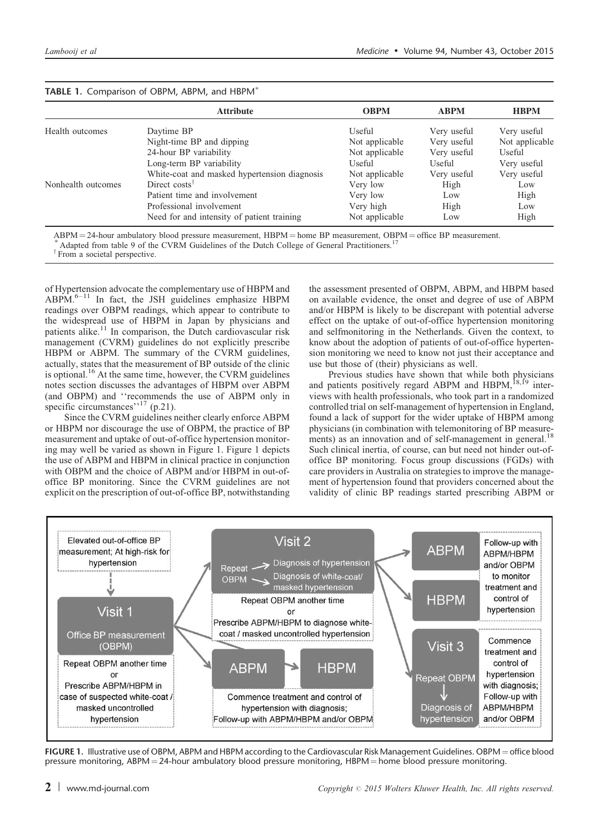|                    | <b>Attribute</b>                              | <b>OBPM</b>    | <b>ABPM</b> | <b>HBPM</b>    |
|--------------------|-----------------------------------------------|----------------|-------------|----------------|
| Health outcomes    | Daytime BP                                    | Useful         | Very useful | Very useful    |
|                    | Night-time BP and dipping                     | Not applicable | Very useful | Not applicable |
|                    | 24-hour BP variability                        | Not applicable | Very useful | Useful         |
|                    | Long-term BP variability                      | Useful         | Useful      | Very useful    |
|                    | White-coat and masked hypertension diagnosis  | Not applicable | Very useful | Very useful    |
| Nonhealth outcomes | Direct costs <sup><math>\uparrow</math></sup> | Very low       | High        | Low            |
|                    | Patient time and involvement                  | Very low       | Low         | High           |
|                    | Professional involvement                      | Very high      | High        | Low            |
|                    | Need for and intensity of patient training    | Not applicable | Low         | High           |

#### <span id="page-1-0"></span>TABLE 1. Comparison of OBPM, ABPM, and HBPM

 $ABPM = 24$ -hour ambulatory blood pressure measurement, HBPM = home BP measurement, OBPM = office BP measurement.<br>
<sup>\*</sup> Adapted from table 9 of the CVRM Guidelines of the Dutch College of General Practitioners.<sup>[17](#page-6-0)</sup>

<sup>†</sup> From a societal perspective.

of Hypertension advocate the complementary use of HBPM and  $ABPM<sup>6-11</sup>$  In fact, the JSH guidelines emphasize HBPM readings over OBPM readings, which appear to contribute to the widespread use of HBPM in Japan by physicians and patients alike.<sup>[11](#page-6-0)</sup> In comparison, the Dutch cardiovascular risk management (CVRM) guidelines do not explicitly prescribe HBPM or ABPM. The summary of the CVRM guidelines, actually, states that the measurement of BP outside of the clinic is optional.<sup>[16](#page-6-0)</sup> At the same time, however, the CVRM guidelines notes section discusses the advantages of HBPM over ABPM (and OBPM) and ''recommends the use of ABPM only in specific circumstances'<sup> $,17$  $,17$ </sup> (p.21).

Since the CVRM guidelines neither clearly enforce ABPM or HBPM nor discourage the use of OBPM, the practice of BP measurement and uptake of out-of-office hypertension monitoring may well be varied as shown in Figure 1. Figure 1 depicts the use of ABPM and HBPM in clinical practice in conjunction with OBPM and the choice of ABPM and/or HBPM in out-ofoffice BP monitoring. Since the CVRM guidelines are not explicit on the prescription of out-of-office BP, notwithstanding the assessment presented of OBPM, ABPM, and HBPM based on available evidence, the onset and degree of use of ABPM and/or HBPM is likely to be discrepant with potential adverse effect on the uptake of out-of-office hypertension monitoring and selfmonitoring in the Netherlands. Given the context, to know about the adoption of patients of out-of-office hypertension monitoring we need to know not just their acceptance and use but those of (their) physicians as well.

Previous studies have shown that while both physicians and patients positively regard ABPM and HBPM,<sup>[18,19](#page-6-0)</sup> interviews with health professionals, who took part in a randomized controlled trial on self-management of hypertension in England, found a lack of support for the wider uptake of HBPM among physicians (in combination with telemonitoring of BP measure-ments) as an innovation and of self-management in general.<sup>[18](#page-6-0)</sup> Such clinical inertia, of course, can but need not hinder out-ofoffice BP monitoring. Focus group discussions (FGDs) with care providers in Australia on strategies to improve the management of hypertension found that providers concerned about the validity of clinic BP readings started prescribing ABPM or



FIGURE 1. Illustrative use of OBPM, ABPM and HBPM according to the Cardiovascular Risk Management Guidelines. OBPM = office blood pressure monitoring,  $ABPM = 24$ -hour ambulatory blood pressure monitoring,  $HBPM =$  home blood pressure monitoring.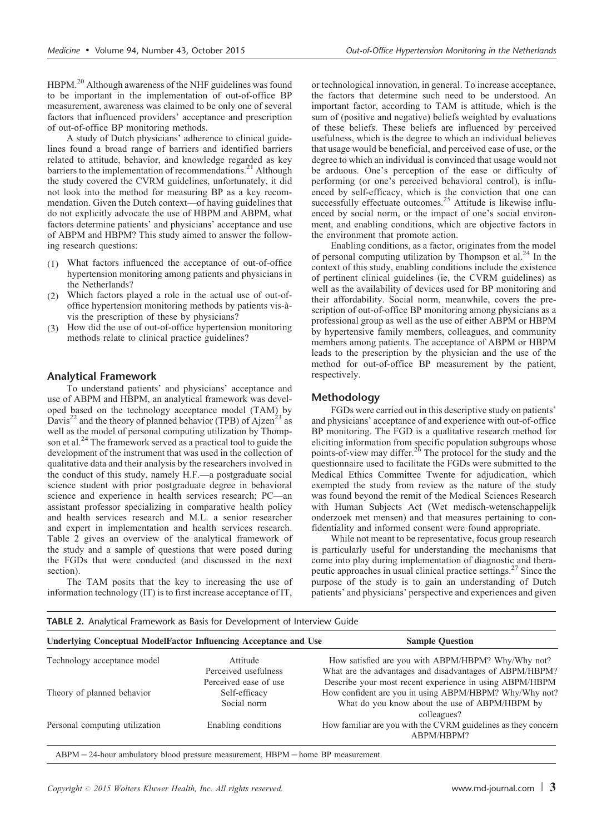HBPM.<sup>[20](#page-6-0)</sup> Although awareness of the NHF guidelines was found to be important in the implementation of out-of-office BP measurement, awareness was claimed to be only one of several factors that influenced providers' acceptance and prescription of out-of-office BP monitoring methods.

A study of Dutch physicians' adherence to clinical guidelines found a broad range of barriers and identified barriers related to attitude, behavior, and knowledge regarded as key barriers to the implementation of recommendations.<sup>[21](#page-6-0)</sup> Although the study covered the CVRM guidelines, unfortunately, it did not look into the method for measuring BP as a key recommendation. Given the Dutch context—of having guidelines that do not explicitly advocate the use of HBPM and ABPM, what factors determine patients' and physicians' acceptance and use of ABPM and HBPM? This study aimed to answer the following research questions:

- (1) What factors influenced the acceptance of out-of-office hypertension monitoring among patients and physicians in the Netherlands?
- Which factors played a role in the actual use of out-ofoffice hypertension monitoring methods by patients vis-a` vis the prescription of these by physicians?
- (3) How did the use of out-of-office hypertension monitoring methods relate to clinical practice guidelines?

#### Analytical Framework

To understand patients' and physicians' acceptance and use of ABPM and HBPM, an analytical framework was developed based on the technology acceptance model (TAM) by Davis<sup>[22](#page-7-0)</sup> and the theory of planned behavior (TPB) of Ajzen<sup>[23](#page-7-0)</sup> as well as the model of personal computing utilization by Thomp-son et al.<sup>[24](#page-7-0)</sup> The framework served as a practical tool to guide the development of the instrument that was used in the collection of qualitative data and their analysis by the researchers involved in the conduct of this study, namely H.F.—a postgraduate social science student with prior postgraduate degree in behavioral science and experience in health services research; PC—an assistant professor specializing in comparative health policy and health services research and M.L. a senior researcher and expert in implementation and health services research. Table 2 gives an overview of the analytical framework of the study and a sample of questions that were posed during the FGDs that were conducted (and discussed in the next section).

The TAM posits that the key to increasing the use of information technology (IT) is to first increase acceptance of IT, or technological innovation, in general. To increase acceptance, the factors that determine such need to be understood. An important factor, according to TAM is attitude, which is the sum of (positive and negative) beliefs weighted by evaluations of these beliefs. These beliefs are influenced by perceived usefulness, which is the degree to which an individual believes that usage would be beneficial, and perceived ease of use, or the degree to which an individual is convinced that usage would not be arduous. One's perception of the ease or difficulty of performing (or one's perceived behavioral control), is influenced by self-efficacy, which is the conviction that one can successfully effectuate outcomes. $25$  Attitude is likewise influenced by social norm, or the impact of one's social environment, and enabling conditions, which are objective factors in the environment that promote action.

Enabling conditions, as a factor, originates from the model of personal computing utilization by Thompson et  $al.^{24}$  $al.^{24}$  $al.^{24}$  In the context of this study, enabling conditions include the existence of pertinent clinical guidelines (ie, the CVRM guidelines) as well as the availability of devices used for BP monitoring and their affordability. Social norm, meanwhile, covers the prescription of out-of-office BP monitoring among physicians as a professional group as well as the use of either ABPM or HBPM by hypertensive family members, colleagues, and community members among patients. The acceptance of ABPM or HBPM leads to the prescription by the physician and the use of the method for out-of-office BP measurement by the patient, respectively.

#### Methodology

FGDs were carried out in this descriptive study on patients' and physicians' acceptance of and experience with out-of-office BP monitoring. The FGD is a qualitative research method for eliciting information from specific population subgroups whose points-of-view may differ.<sup>[26](#page-7-0)</sup> The protocol for the study and the questionnaire used to facilitate the FGDs were submitted to the Medical Ethics Committee Twente for adjudication, which exempted the study from review as the nature of the study was found beyond the remit of the Medical Sciences Research with Human Subjects Act (Wet medisch-wetenschappelijk onderzoek met mensen) and that measures pertaining to confidentiality and informed consent were found appropriate.

While not meant to be representative, focus group research is particularly useful for understanding the mechanisms that come into play during implementation of diagnostic and therapeutic approaches in usual clinical practice settings[.27](#page-7-0) Since the purpose of the study is to gain an understanding of Dutch patients' and physicians' perspective and experiences and given

| <b>TABLE 2.</b> Analytical Framework as Basis for Development of Interview Guide<br><b>Underlying Conceptual ModelFactor Influencing Acceptance and Use</b><br><b>Sample Question</b> |                                                           |                                                                                                                                                                          |  |  |
|---------------------------------------------------------------------------------------------------------------------------------------------------------------------------------------|-----------------------------------------------------------|--------------------------------------------------------------------------------------------------------------------------------------------------------------------------|--|--|
| Technology acceptance model                                                                                                                                                           | Attitude<br>Perceived usefulness<br>Perceived ease of use | How satisfied are you with ABPM/HBPM? Why/Why not?<br>What are the advantages and disadvantages of ABPM/HBPM?<br>Describe your most recent experience in using ABPM/HBPM |  |  |
| Theory of planned behavior                                                                                                                                                            | Self-efficacy<br>Social norm                              | How confident are you in using ABPM/HBPM? Why/Why not?<br>What do you know about the use of ABPM/HBPM by<br>colleagues?                                                  |  |  |
| Personal computing utilization                                                                                                                                                        | Enabling conditions                                       | How familiar are you with the CVRM guidelines as they concern<br>ABPM/HBPM?                                                                                              |  |  |

 $ABPM = 24$ -hour ambulatory blood pressure measurement,  $HBPM =$  home BP measurement.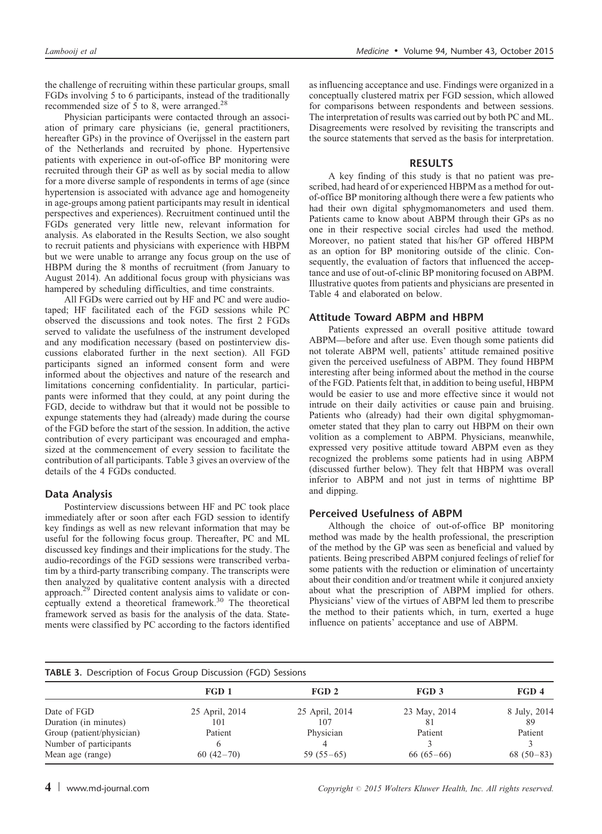the challenge of recruiting within these particular groups, small FGDs involving 5 to 6 participants, instead of the traditionally recommended size of 5 to 8, were arranged.<sup>[28](#page-7-0)</sup>

Physician participants were contacted through an association of primary care physicians (ie, general practitioners, hereafter GPs) in the province of Overijssel in the eastern part of the Netherlands and recruited by phone. Hypertensive patients with experience in out-of-office BP monitoring were recruited through their GP as well as by social media to allow for a more diverse sample of respondents in terms of age (since hypertension is associated with advance age and homogeneity in age-groups among patient participants may result in identical perspectives and experiences). Recruitment continued until the FGDs generated very little new, relevant information for analysis. As elaborated in the Results Section, we also sought to recruit patients and physicians with experience with HBPM but we were unable to arrange any focus group on the use of HBPM during the 8 months of recruitment (from January to August 2014). An additional focus group with physicians was hampered by scheduling difficulties, and time constraints.

All FGDs were carried out by HF and PC and were audiotaped; HF facilitated each of the FGD sessions while PC observed the discussions and took notes. The first 2 FGDs served to validate the usefulness of the instrument developed and any modification necessary (based on postinterview discussions elaborated further in the next section). All FGD participants signed an informed consent form and were informed about the objectives and nature of the research and limitations concerning confidentiality. In particular, participants were informed that they could, at any point during the FGD, decide to withdraw but that it would not be possible to expunge statements they had (already) made during the course of the FGD before the start of the session. In addition, the active contribution of every participant was encouraged and emphasized at the commencement of every session to facilitate the contribution of all participants. Table 3 gives an overview of the details of the 4 FGDs conducted.

## Data Analysis

Postinterview discussions between HF and PC took place immediately after or soon after each FGD session to identify key findings as well as new relevant information that may be useful for the following focus group. Thereafter, PC and ML discussed key findings and their implications for the study. The audio-recordings of the FGD sessions were transcribed verbatim by a third-party transcribing company. The transcripts were then analyzed by qualitative content analysis with a directed approach.[29](#page-7-0) Directed content analysis aims to validate or conceptually extend a theoretical framework. $30$  The theoretical framework served as basis for the analysis of the data. Statements were classified by PC according to the factors identified as influencing acceptance and use. Findings were organized in a conceptually clustered matrix per FGD session, which allowed for comparisons between respondents and between sessions. The interpretation of results was carried out by both PC and ML. Disagreements were resolved by revisiting the transcripts and the source statements that served as the basis for interpretation.

#### RESULTS

A key finding of this study is that no patient was prescribed, had heard of or experienced HBPM as a method for outof-office BP monitoring although there were a few patients who had their own digital sphygmomanometers and used them. Patients came to know about ABPM through their GPs as no one in their respective social circles had used the method. Moreover, no patient stated that his/her GP offered HBPM as an option for BP monitoring outside of the clinic. Consequently, the evaluation of factors that influenced the acceptance and use of out-of-clinic BP monitoring focused on ABPM. Illustrative quotes from patients and physicians are presented in [Table 4](#page-4-0) and elaborated on below.

## Attitude Toward ABPM and HBPM

Patients expressed an overall positive attitude toward ABPM—before and after use. Even though some patients did not tolerate ABPM well, patients' attitude remained positive given the perceived usefulness of ABPM. They found HBPM interesting after being informed about the method in the course of the FGD. Patients felt that, in addition to being useful, HBPM would be easier to use and more effective since it would not intrude on their daily activities or cause pain and bruising. Patients who (already) had their own digital sphygmomanometer stated that they plan to carry out HBPM on their own volition as a complement to ABPM. Physicians, meanwhile, expressed very positive attitude toward ABPM even as they recognized the problems some patients had in using ABPM (discussed further below). They felt that HBPM was overall inferior to ABPM and not just in terms of nighttime BP and dipping.

## Perceived Usefulness of ABPM

Although the choice of out-of-office BP monitoring method was made by the health professional, the prescription of the method by the GP was seen as beneficial and valued by patients. Being prescribed ABPM conjured feelings of relief for some patients with the reduction or elimination of uncertainty about their condition and/or treatment while it conjured anxiety about what the prescription of ABPM implied for others. Physicians' view of the virtues of ABPM led them to prescribe the method to their patients which, in turn, exerted a huge influence on patients' acceptance and use of ABPM.

| <b>TABLE 3.</b> Description of Focus Group Discussion (FGD) Sessions |                |                |              |              |  |
|----------------------------------------------------------------------|----------------|----------------|--------------|--------------|--|
|                                                                      | FGD 1          | FGD 2          | FGD 3        | FGD 4        |  |
| Date of FGD                                                          | 25 April, 2014 | 25 April, 2014 | 23 May, 2014 | 8 July, 2014 |  |
| Duration (in minutes)                                                | 101            | 107            | 81           | 89           |  |
| Group (patient/physician)                                            | Patient        | Physician      | Patient      | Patient      |  |
| Number of participants                                               |                |                |              |              |  |
| Mean age (range)                                                     | $60(42-70)$    | $59(55-65)$    | $66(65-66)$  | $68(50-83)$  |  |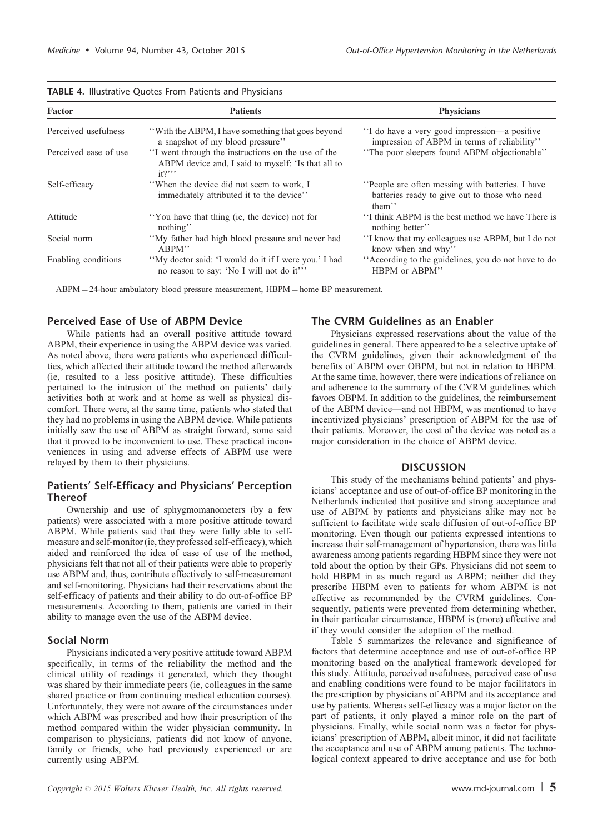| Factor                | <b>Patients</b>                                                                                                 | <b>Physicians</b>                                                                                           |
|-----------------------|-----------------------------------------------------------------------------------------------------------------|-------------------------------------------------------------------------------------------------------------|
| Perceived usefulness  | "With the ABPM, I have something that goes beyond<br>a snapshot of my blood pressure"                           | "I do have a very good impression—a positive<br>impression of ABPM in terms of reliability"                 |
| Perceived ease of use | "I went through the instructions on the use of the<br>ABPM device and, I said to myself: 'Is that all to<br>it? | "The poor sleepers found ABPM objectionable"                                                                |
| Self-efficacy         | "When the device did not seem to work, I<br>immediately attributed it to the device"                            | "People are often messing with batteries. I have<br>batteries ready to give out to those who need<br>them'' |
| Attitude              | "You have that thing (ie, the device) not for<br>nothing"                                                       | "I think ABPM is the best method we have There is<br>nothing better"                                        |
| Social norm           | "My father had high blood pressure and never had<br>ABPM"                                                       | "I know that my colleagues use ABPM, but I do not<br>know when and why"                                     |
| Enabling conditions   | "My doctor said: 'I would do it if I were you.' I had<br>no reason to say: 'No I will not do it'''              | "According to the guidelines, you do not have to do<br>HBPM or ABPM"                                        |

<span id="page-4-0"></span>

|  | <b>TABLE 4. Illustrative Quotes From Patients and Physicians</b> |  |  |  |  |  |  |
|--|------------------------------------------------------------------|--|--|--|--|--|--|
|--|------------------------------------------------------------------|--|--|--|--|--|--|

## Perceived Ease of Use of ABPM Device

While patients had an overall positive attitude toward ABPM, their experience in using the ABPM device was varied. As noted above, there were patients who experienced difficulties, which affected their attitude toward the method afterwards (ie, resulted to a less positive attitude). These difficulties pertained to the intrusion of the method on patients' daily activities both at work and at home as well as physical discomfort. There were, at the same time, patients who stated that they had no problems in using the ABPM device. While patients initially saw the use of ABPM as straight forward, some said that it proved to be inconvenient to use. These practical inconveniences in using and adverse effects of ABPM use were relayed by them to their physicians.

#### Patients' Self-Efficacy and Physicians' Perception Thereof

Ownership and use of sphygmomanometers (by a few patients) were associated with a more positive attitude toward ABPM. While patients said that they were fully able to selfmeasure and self-monitor (ie,they professed self-efficacy), which aided and reinforced the idea of ease of use of the method, physicians felt that not all of their patients were able to properly use ABPM and, thus, contribute effectively to self-measurement and self-monitoring. Physicians had their reservations about the self-efficacy of patients and their ability to do out-of-office BP measurements. According to them, patients are varied in their ability to manage even the use of the ABPM device.

#### Social Norm

Physicians indicated a very positive attitude toward ABPM specifically, in terms of the reliability the method and the clinical utility of readings it generated, which they thought was shared by their immediate peers (ie, colleagues in the same shared practice or from continuing medical education courses). Unfortunately, they were not aware of the circumstances under which ABPM was prescribed and how their prescription of the method compared within the wider physician community. In comparison to physicians, patients did not know of anyone, family or friends, who had previously experienced or are currently using ABPM.

## The CVRM Guidelines as an Enabler

Physicians expressed reservations about the value of the guidelines in general. There appeared to be a selective uptake of the CVRM guidelines, given their acknowledgment of the benefits of ABPM over OBPM, but not in relation to HBPM. At the same time, however, there were indications of reliance on and adherence to the summary of the CVRM guidelines which favors OBPM. In addition to the guidelines, the reimbursement of the ABPM device—and not HBPM, was mentioned to have incentivized physicians' prescription of ABPM for the use of their patients. Moreover, the cost of the device was noted as a major consideration in the choice of ABPM device.

#### **DISCUSSION**

This study of the mechanisms behind patients' and physicians' acceptance and use of out-of-office BP monitoring in the Netherlands indicated that positive and strong acceptance and use of ABPM by patients and physicians alike may not be sufficient to facilitate wide scale diffusion of out-of-office BP monitoring. Even though our patients expressed intentions to increase their self-management of hypertension, there was little awareness among patients regarding HBPM since they were not told about the option by their GPs. Physicians did not seem to hold HBPM in as much regard as ABPM; neither did they prescribe HBPM even to patients for whom ABPM is not effective as recommended by the CVRM guidelines. Consequently, patients were prevented from determining whether, in their particular circumstance, HBPM is (more) effective and if they would consider the adoption of the method.

[Table 5](#page-5-0) summarizes the relevance and significance of factors that determine acceptance and use of out-of-office BP monitoring based on the analytical framework developed for this study. Attitude, perceived usefulness, perceived ease of use and enabling conditions were found to be major facilitators in the prescription by physicians of ABPM and its acceptance and use by patients. Whereas self-efficacy was a major factor on the part of patients, it only played a minor role on the part of physicians. Finally, while social norm was a factor for physicians' prescription of ABPM, albeit minor, it did not facilitate the acceptance and use of ABPM among patients. The technological context appeared to drive acceptance and use for both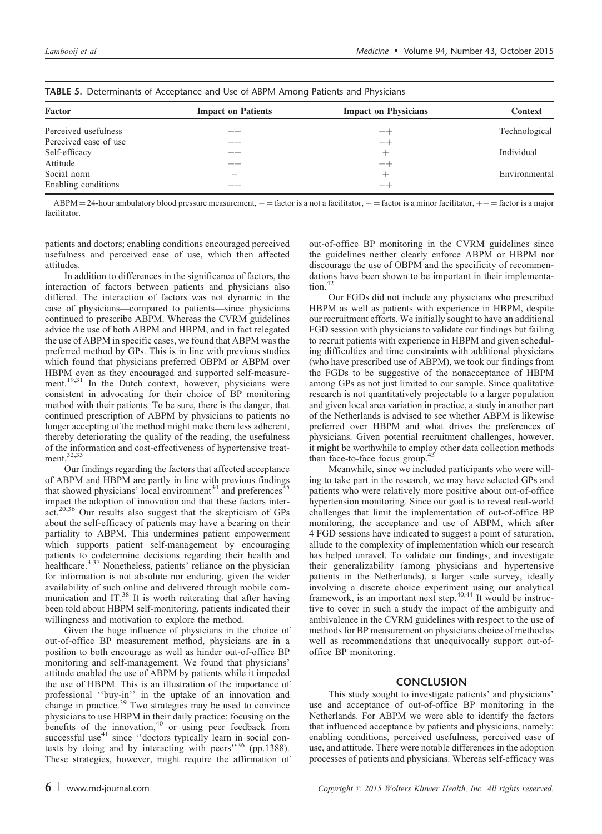| Factor                | <b>Impact on Patients</b> | <b>Impact on Physicians</b> | <b>Context</b> |
|-----------------------|---------------------------|-----------------------------|----------------|
| Perceived usefulness  | $^{\mathrm{++}}$          | $^{++}$                     | Technological  |
| Perceived ease of use | $^{++}$                   | $++$                        |                |
| Self-efficacy         | $^+$                      | +                           | Individual     |
| Attitude              | $^{++}$                   | $^{++}$                     |                |
| Social norm           |                           | $\!$                        | Environmental  |
| Enabling conditions   | $^{\mathrm{++}}$          | $^{++}$                     |                |

<span id="page-5-0"></span>

| <b>TABLE 5.</b> Determinants of Acceptance and Use of ABPM Among Patients and Physicians |  |  |
|------------------------------------------------------------------------------------------|--|--|
|                                                                                          |  |  |

 $ABPM = 24$ -hour ambulatory blood pressure measurement,  $-$  factor is a not a facilitator,  $+$  = factor is a minor facilitator,  $++$  = factor is a major facilitator.

patients and doctors; enabling conditions encouraged perceived usefulness and perceived ease of use, which then affected attitudes.

In addition to differences in the significance of factors, the interaction of factors between patients and physicians also differed. The interaction of factors was not dynamic in the case of physicians—compared to patients—since physicians continued to prescribe ABPM. Whereas the CVRM guidelines advice the use of both ABPM and HBPM, and in fact relegated the use of ABPM in specific cases, we found that ABPM was the preferred method by GPs. This is in line with previous studies which found that physicians preferred OBPM or ABPM over HBPM even as they encouraged and supported self-measurement[.19,31](#page-6-0) In the Dutch context, however, physicians were consistent in advocating for their choice of BP monitoring method with their patients. To be sure, there is the danger, that continued prescription of ABPM by physicians to patients no longer accepting of the method might make them less adherent, thereby deteriorating the quality of the reading, the usefulness of the information and cost-effectiveness of hypertensive treatment[.32,33](#page-7-0)

Our findings regarding the factors that affected acceptance of ABPM and HBPM are partly in line with previous findings that showed physicians' local environment<sup>[34](#page-7-0)</sup> and preferences<sup>3</sup> impact the adoption of innovation and that these factors interact.[20,36](#page-6-0) Our results also suggest that the skepticism of GPs about the self-efficacy of patients may have a bearing on their partiality to ABPM. This undermines patient empowerment which supports patient self-management by encouraging patients to codetermine decisions regarding their health and healthcare.<sup>[3,37](#page-6-0)</sup> Nonetheless, patients' reliance on the physician for information is not absolute nor enduring, given the wider availability of such online and delivered through mobile communication and IT[.38](#page-7-0) It is worth reiterating that after having been told about HBPM self-monitoring, patients indicated their willingness and motivation to explore the method.

Given the huge influence of physicians in the choice of out-of-office BP measurement method, physicians are in a position to both encourage as well as hinder out-of-office BP monitoring and self-management. We found that physicians' attitude enabled the use of ABPM by patients while it impeded the use of HBPM. This is an illustration of the importance of professional ''buy-in'' in the uptake of an innovation and change in practice. $39$  Two strategies may be used to convince physicians to use HBPM in their daily practice: focusing on the benefits of the innovation, $40$  or using peer feedback from successful use<sup>[41](#page-7-0)</sup> since "doctors typically learn in social contexts by doing and by interacting with peers'<sup>36</sup> (pp.1388). These strategies, however, might require the affirmation of out-of-office BP monitoring in the CVRM guidelines since the guidelines neither clearly enforce ABPM or HBPM nor discourage the use of OBPM and the specificity of recommendations have been shown to be important in their implementa- $\text{tion.}^{42}$  $\text{tion.}^{42}$  $\text{tion.}^{42}$ 

Our FGDs did not include any physicians who prescribed HBPM as well as patients with experience in HBPM, despite our recruitment efforts. We initially sought to have an additional FGD session with physicians to validate our findings but failing to recruit patients with experience in HBPM and given scheduling difficulties and time constraints with additional physicians (who have prescribed use of ABPM), we took our findings from the FGDs to be suggestive of the nonacceptance of HBPM among GPs as not just limited to our sample. Since qualitative research is not quantitatively projectable to a larger population and given local area variation in practice, a study in another part of the Netherlands is advised to see whether ABPM is likewise preferred over HBPM and what drives the preferences of physicians. Given potential recruitment challenges, however, it might be worthwhile to employ other data collection methods than face-to-face focus group.<sup>[43](#page-7-0)</sup>

Meanwhile, since we included participants who were willing to take part in the research, we may have selected GPs and patients who were relatively more positive about out-of-office hypertension monitoring. Since our goal is to reveal real-world challenges that limit the implementation of out-of-office BP monitoring, the acceptance and use of ABPM, which after 4 FGD sessions have indicated to suggest a point of saturation, allude to the complexity of implementation which our research has helped unravel. To validate our findings, and investigate their generalizability (among physicians and hypertensive patients in the Netherlands), a larger scale survey, ideally involving a discrete choice experiment using our analytical framework, is an important next step.<sup>[40,44](#page-7-0)</sup> It would be instructive to cover in such a study the impact of the ambiguity and ambivalence in the CVRM guidelines with respect to the use of methods for BP measurement on physicians choice of method as well as recommendations that unequivocally support out-ofoffice BP monitoring.

## **CONCLUSION**

This study sought to investigate patients' and physicians' use and acceptance of out-of-office BP monitoring in the Netherlands. For ABPM we were able to identify the factors that influenced acceptance by patients and physicians, namely: enabling conditions, perceived usefulness, perceived ease of use, and attitude. There were notable differences in the adoption processes of patients and physicians. Whereas self-efficacy was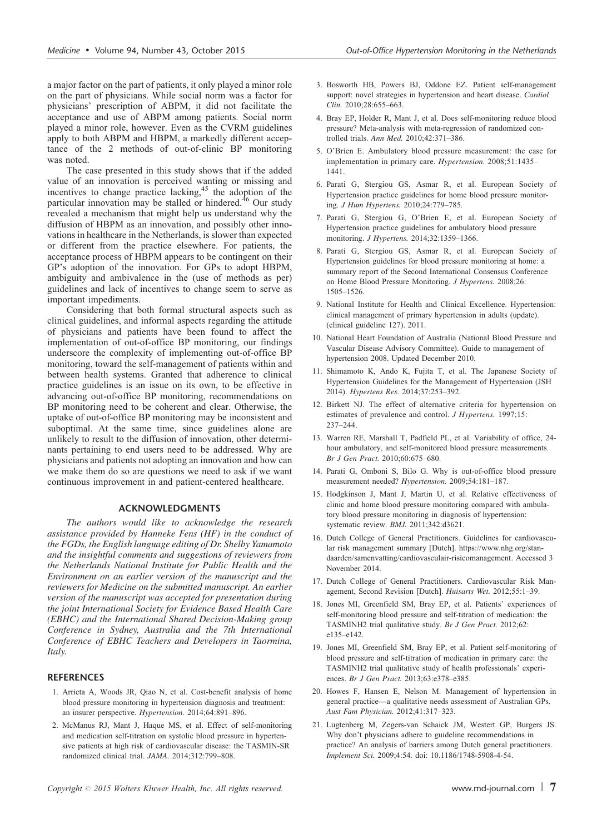<span id="page-6-0"></span>a major factor on the part of patients, it only played a minor role on the part of physicians. While social norm was a factor for physicians' prescription of ABPM, it did not facilitate the acceptance and use of ABPM among patients. Social norm played a minor role, however. Even as the CVRM guidelines apply to both ABPM and HBPM, a markedly different acceptance of the 2 methods of out-of-clinic BP monitoring was noted.

The case presented in this study shows that if the added value of an innovation is perceived wanting or missing and incentives to change practice lacking, $45$  the adoption of the particular innovation may be stalled or hindered.<sup>[46](#page-7-0)</sup> Our study revealed a mechanism that might help us understand why the diffusion of HBPM as an innovation, and possibly other innovations in healthcare in the Netherlands, is slower than expected or different from the practice elsewhere. For patients, the acceptance process of HBPM appears to be contingent on their GP's adoption of the innovation. For GPs to adopt HBPM, ambiguity and ambivalence in the (use of methods as per) guidelines and lack of incentives to change seem to serve as important impediments.

Considering that both formal structural aspects such as clinical guidelines, and informal aspects regarding the attitude of physicians and patients have been found to affect the implementation of out-of-office BP monitoring, our findings underscore the complexity of implementing out-of-office BP monitoring, toward the self-management of patients within and between health systems. Granted that adherence to clinical practice guidelines is an issue on its own, to be effective in advancing out-of-office BP monitoring, recommendations on BP monitoring need to be coherent and clear. Otherwise, the uptake of out-of-office BP monitoring may be inconsistent and suboptimal. At the same time, since guidelines alone are unlikely to result to the diffusion of innovation, other determinants pertaining to end users need to be addressed. Why are physicians and patients not adopting an innovation and how can we make them do so are questions we need to ask if we want continuous improvement in and patient-centered healthcare.

#### ACKNOWLEDGMENTS

The authors would like to acknowledge the research assistance provided by Hanneke Fens (HF) in the conduct of the FGDs, the English language editing of Dr. Shelby Yamamoto and the insightful comments and suggestions of reviewers from the Netherlands National Institute for Public Health and the Environment on an earlier version of the manuscript and the reviewers for Medicine on the submitted manuscript. An earlier version of the manuscript was accepted for presentation during the joint International Society for Evidence Based Health Care (EBHC) and the International Shared Decision-Making group Conference in Sydney, Australia and the 7th International Conference of EBHC Teachers and Developers in Taormina, Italy.

#### **REFERENCES**

- 1. Arrieta A, Woods JR, Qiao N, et al. Cost-benefit analysis of home blood pressure monitoring in hypertension diagnosis and treatment: an insurer perspective. Hypertension. 2014;64:891–896.
- 2. McManus RJ, Mant J, Haque MS, et al. Effect of self-monitoring and medication self-titration on systolic blood pressure in hypertensive patients at high risk of cardiovascular disease: the TASMIN-SR randomized clinical trial. JAMA. 2014;312:799–808.
- 3. Bosworth HB, Powers BJ, Oddone EZ. Patient self-management support: novel strategies in hypertension and heart disease. Cardiol Clin. 2010;28:655–663.
- 4. Bray EP, Holder R, Mant J, et al. Does self-monitoring reduce blood pressure? Meta-analysis with meta-regression of randomized controlled trials. Ann Med. 2010;42:371–386.
- 5. O'Brien E. Ambulatory blood pressure measurement: the case for implementation in primary care. Hypertension. 2008;51:1435– 1441.
- 6. Parati G, Stergiou GS, Asmar R, et al. European Society of Hypertension practice guidelines for home blood pressure monitoring. J Hum Hypertens. 2010;24:779–785.
- 7. Parati G, Stergiou G, O'Brien E, et al. European Society of Hypertension practice guidelines for ambulatory blood pressure monitoring. J Hypertens. 2014;32:1359–1366.
- 8. Parati G, Stergiou GS, Asmar R, et al. European Society of Hypertension guidelines for blood pressure monitoring at home: a summary report of the Second International Consensus Conference on Home Blood Pressure Monitoring. J Hypertens. 2008;26: 1505–1526.
- 9. National Institute for Health and Clinical Excellence. Hypertension: clinical management of primary hypertension in adults (update). (clinical guideline 127). 2011.
- 10. National Heart Foundation of Australia (National Blood Pressure and Vascular Disease Advisory Committee). Guide to management of hypertension 2008. Updated December 2010.
- 11. Shimamoto K, Ando K, Fujita T, et al. The Japanese Society of Hypertension Guidelines for the Management of Hypertension (JSH 2014). Hypertens Res. 2014;37:253–392.
- 12. Birkett NJ. The effect of alternative criteria for hypertension on estimates of prevalence and control. J Hypertens. 1997;15: 237–244.
- 13. Warren RE, Marshall T, Padfield PL, et al. Variability of office, 24 hour ambulatory, and self-monitored blood pressure measurements. Br J Gen Pract. 2010;60:675–680.
- 14. Parati G, Omboni S, Bilo G. Why is out-of-office blood pressure measurement needed? Hypertension. 2009;54:181–187.
- 15. Hodgkinson J, Mant J, Martin U, et al. Relative effectiveness of clinic and home blood pressure monitoring compared with ambulatory blood pressure monitoring in diagnosis of hypertension: systematic review. BMJ. 2011;342:d3621.
- 16. Dutch College of General Practitioners. Guidelines for cardiovascular risk management summary [Dutch]. [https://www.nhg.org/stan](https://www.nhg.org/standaarden/samenvatting/cardiovasculair-risicomanagement)[daarden/samenvatting/cardiovasculair-risicomanagement](https://www.nhg.org/standaarden/samenvatting/cardiovasculair-risicomanagement). Accessed 3 November 2014.
- 17. Dutch College of General Practitioners. Cardiovascular Risk Management, Second Revision [Dutch]. Huisarts Wet. 2012;55:1–39.
- 18. Jones MI, Greenfield SM, Bray EP, et al. Patients' experiences of self-monitoring blood pressure and self-titration of medication: the TASMINH2 trial qualitative study. Br J Gen Pract. 2012;62: e135–e142.
- 19. Jones MI, Greenfield SM, Bray EP, et al. Patient self-monitoring of blood pressure and self-titration of medication in primary care: the TASMINH2 trial qualitative study of health professionals' experiences. Br J Gen Pract. 2013;63:e378–e385.
- 20. Howes F, Hansen E, Nelson M. Management of hypertension in general practice—a qualitative needs assessment of Australian GPs. Aust Fam Physician. 2012;41:317–323.
- 21. Lugtenberg M, Zegers-van Schaick JM, Westert GP, Burgers JS. Why don't physicians adhere to guideline recommendations in practice? An analysis of barriers among Dutch general practitioners. Implement Sci. 2009;4:54. doi: 10.1186/1748-5908-4-54.